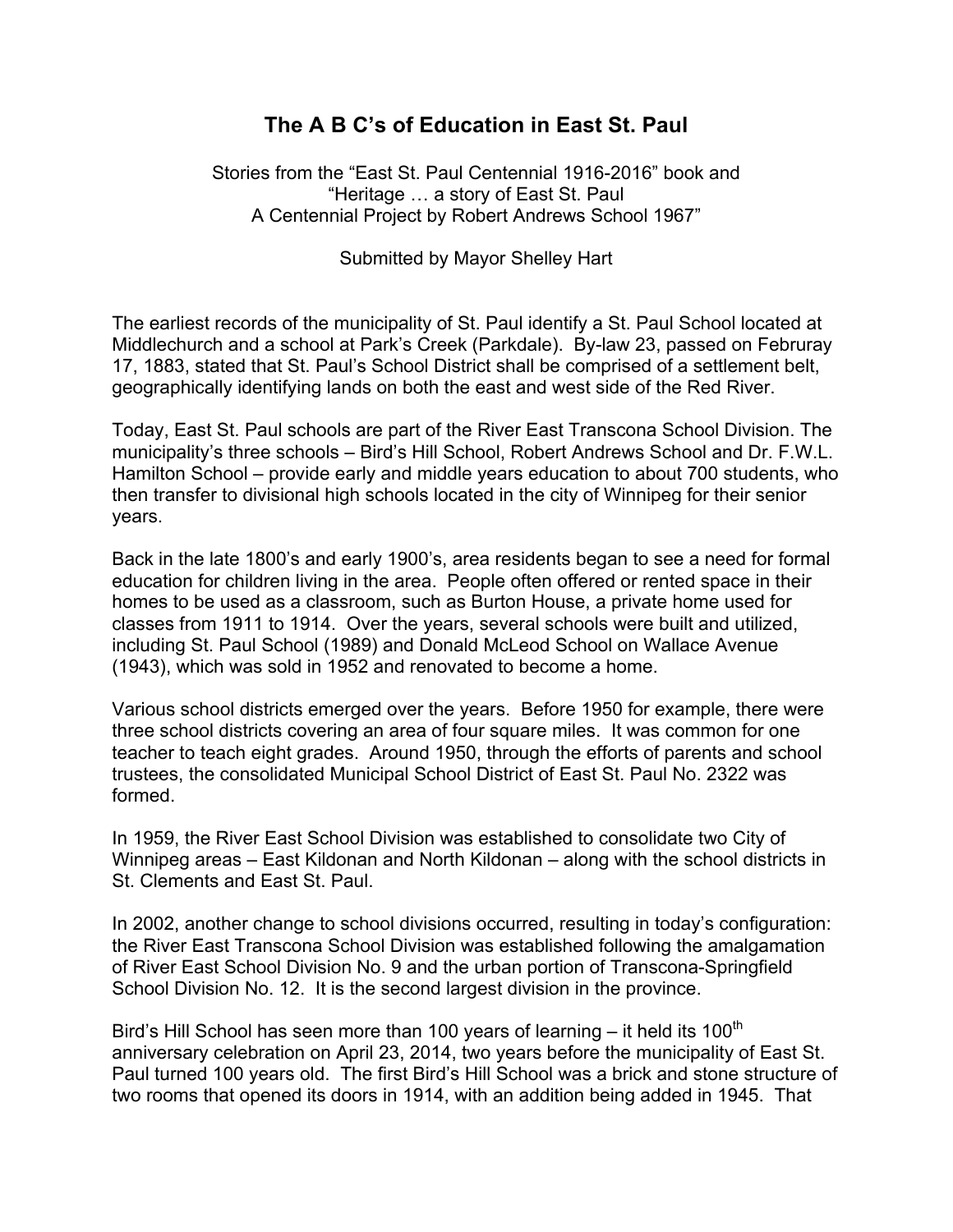## **The A B C's of Education in East St. Paul**

Stories from the "East St. Paul Centennial 1916-2016" book and "Heritage … a story of East St. Paul A Centennial Project by Robert Andrews School 1967"

Submitted by Mayor Shelley Hart

The earliest records of the municipality of St. Paul identify a St. Paul School located at Middlechurch and a school at Park's Creek (Parkdale). By-law 23, passed on Februray 17, 1883, stated that St. Paul's School District shall be comprised of a settlement belt, geographically identifying lands on both the east and west side of the Red River.

Today, East St. Paul schools are part of the River East Transcona School Division. The municipality's three schools – Bird's Hill School, Robert Andrews School and Dr. F.W.L. Hamilton School – provide early and middle years education to about 700 students, who then transfer to divisional high schools located in the city of Winnipeg for their senior years.

Back in the late 1800's and early 1900's, area residents began to see a need for formal education for children living in the area. People often offered or rented space in their homes to be used as a classroom, such as Burton House, a private home used for classes from 1911 to 1914. Over the years, several schools were built and utilized, including St. Paul School (1989) and Donald McLeod School on Wallace Avenue (1943), which was sold in 1952 and renovated to become a home.

Various school districts emerged over the years. Before 1950 for example, there were three school districts covering an area of four square miles. It was common for one teacher to teach eight grades. Around 1950, through the efforts of parents and school trustees, the consolidated Municipal School District of East St. Paul No. 2322 was formed.

In 1959, the River East School Division was established to consolidate two City of Winnipeg areas – East Kildonan and North Kildonan – along with the school districts in St. Clements and East St. Paul.

In 2002, another change to school divisions occurred, resulting in today's configuration: the River East Transcona School Division was established following the amalgamation of River East School Division No. 9 and the urban portion of Transcona-Springfield School Division No. 12. It is the second largest division in the province.

Bird's Hill School has seen more than 100 years of learning  $-$  it held its 100<sup>th</sup> anniversary celebration on April 23, 2014, two years before the municipality of East St. Paul turned 100 years old. The first Bird's Hill School was a brick and stone structure of two rooms that opened its doors in 1914, with an addition being added in 1945. That